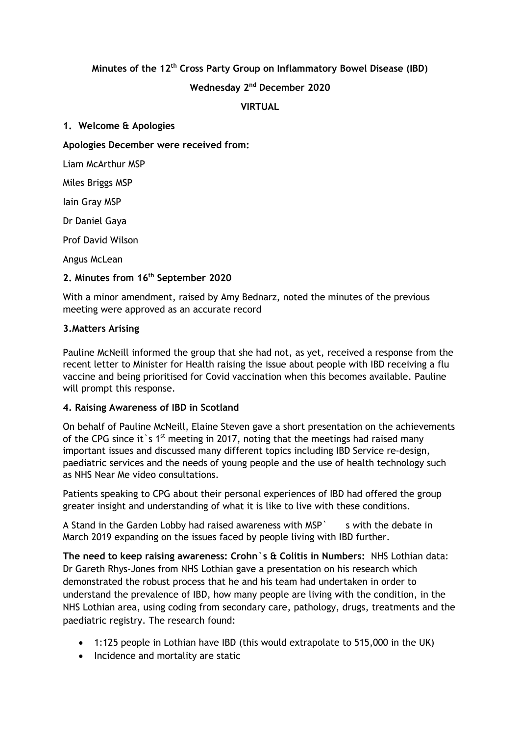### **Minutes of the 12 th Cross Party Group on Inflammatory Bowel Disease (IBD)**

### **Wednesday 2 nd December 2020**

#### **VIRTUAL**

#### **1. Welcome & Apologies**

### **Apologies December were received from:**

Liam McArthur MSP

Miles Briggs MSP

Iain Gray MSP

Dr Daniel Gaya

Prof David Wilson

Angus McLean

# **2. Minutes from 16 th September 2020**

With a minor amendment, raised by Amy Bednarz, noted the minutes of the previous meeting were approved as an accurate record

### **3.Matters Arising**

Pauline McNeill informed the group that she had not, as yet, received a response from the recent letter to Minister for Health raising the issue about people with IBD receiving a flu vaccine and being prioritised for Covid vaccination when this becomes available. Pauline will prompt this response.

# **4. Raising Awareness of IBD in Scotland**

On behalf of Pauline McNeill, Elaine Steven gave a short presentation on the achievements of the CPG since it s  $1^{st}$  meeting in 2017, noting that the meetings had raised many important issues and discussed many different topics including IBD Service re-design, paediatric services and the needs of young people and the use of health technology such as NHS Near Me video consultations.

Patients speaking to CPG about their personal experiences of IBD had offered the group greater insight and understanding of what it is like to live with these conditions.

A Stand in the Garden Lobby had raised awareness with MSP s with the debate in March 2019 expanding on the issues faced by people living with IBD further.

**The need to keep raising awareness: Crohn`s & Colitis in Numbers:** NHS Lothian data: Dr Gareth Rhys-Jones from NHS Lothian gave a presentation on his research which demonstrated the robust process that he and his team had undertaken in order to understand the prevalence of IBD, how many people are living with the condition, in the NHS Lothian area, using coding from secondary care, pathology, drugs, treatments and the paediatric registry. The research found:

- 1:125 people in Lothian have IBD (this would extrapolate to 515,000 in the UK)
- Incidence and mortality are static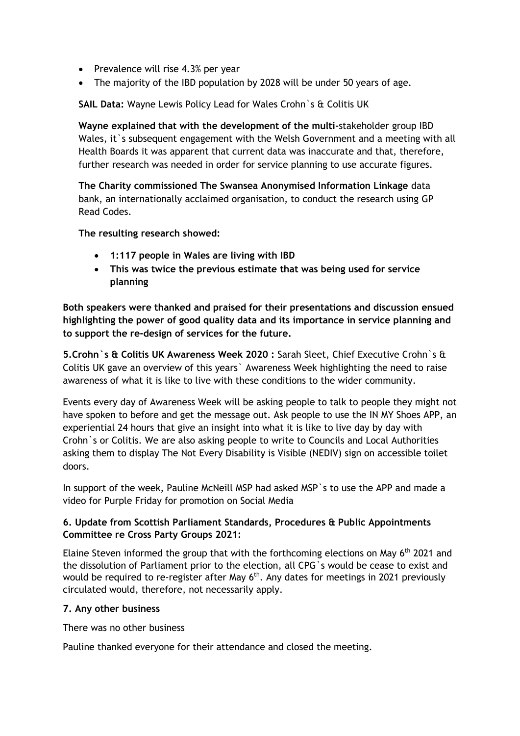- Prevalence will rise 4.3% per year
- The majority of the IBD population by 2028 will be under 50 years of age.

**SAIL Data:** Wayne Lewis Policy Lead for Wales Crohn`s & Colitis UK

**Wayne explained that with the development of the multi-**stakeholder group IBD Wales, it's subsequent engagement with the Welsh Government and a meeting with all Health Boards it was apparent that current data was inaccurate and that, therefore, further research was needed in order for service planning to use accurate figures.

**The Charity commissioned The Swansea Anonymised Information Linkage** data bank, an internationally acclaimed organisation, to conduct the research using GP Read Codes.

### **The resulting research showed:**

- **1:117 people in Wales are living with IBD**
- **This was twice the previous estimate that was being used for service planning**

**Both speakers were thanked and praised for their presentations and discussion ensued highlighting the power of good quality data and its importance in service planning and to support the re-design of services for the future.**

**5.Crohn`s & Colitis UK Awareness Week 2020 :** Sarah Sleet, Chief Executive Crohn`s & Colitis UK gave an overview of this years` Awareness Week highlighting the need to raise awareness of what it is like to live with these conditions to the wider community.

Events every day of Awareness Week will be asking people to talk to people they might not have spoken to before and get the message out. Ask people to use the IN MY Shoes APP, an experiential 24 hours that give an insight into what it is like to live day by day with Crohn`s or Colitis. We are also asking people to write to Councils and Local Authorities asking them to display The Not Every Disability is Visible (NEDIV) sign on accessible toilet doors.

In support of the week, Pauline McNeill MSP had asked MSP`s to use the APP and made a video for Purple Friday for promotion on Social Media

# **6. Update from Scottish Parliament Standards, Procedures & Public Appointments Committee re Cross Party Groups 2021:**

Elaine Steven informed the group that with the forthcoming elections on May  $6<sup>th</sup>$  2021 and the dissolution of Parliament prior to the election, all CPG`s would be cease to exist and would be required to re-register after May  $6<sup>th</sup>$ . Any dates for meetings in 2021 previously circulated would, therefore, not necessarily apply.

# **7. Any other business**

There was no other business

Pauline thanked everyone for their attendance and closed the meeting.